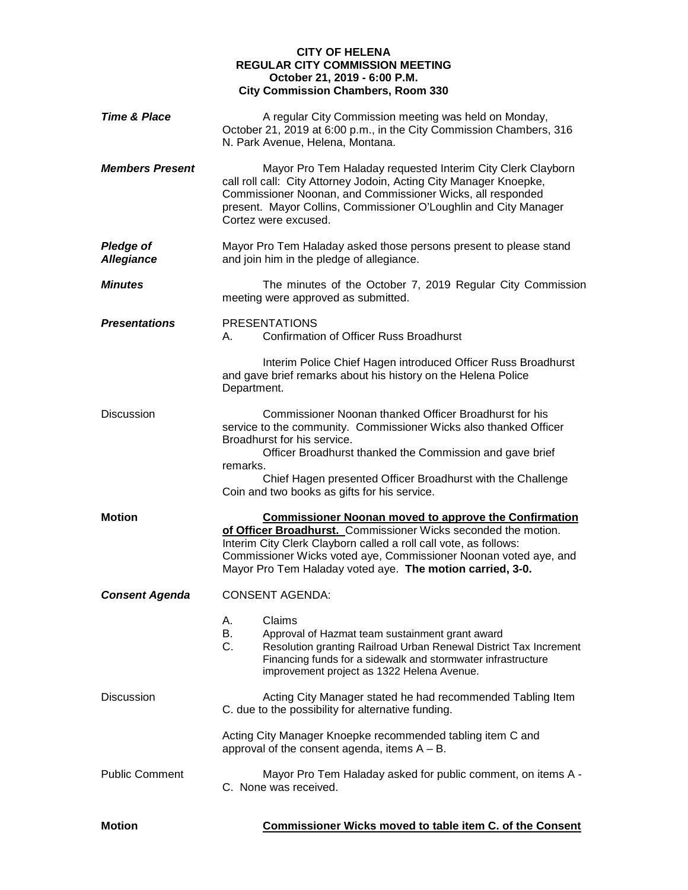## **CITY OF HELENA REGULAR CITY COMMISSION MEETING October 21, 2019 - 6:00 P.M. City Commission Chambers, Room 330**

| Time & Place                          | A regular City Commission meeting was held on Monday,<br>October 21, 2019 at 6:00 p.m., in the City Commission Chambers, 316<br>N. Park Avenue, Helena, Montana.                                                                                                                                                                    |
|---------------------------------------|-------------------------------------------------------------------------------------------------------------------------------------------------------------------------------------------------------------------------------------------------------------------------------------------------------------------------------------|
| <b>Members Present</b>                | Mayor Pro Tem Haladay requested Interim City Clerk Clayborn<br>call roll call: City Attorney Jodoin, Acting City Manager Knoepke,<br>Commissioner Noonan, and Commissioner Wicks, all responded<br>present. Mayor Collins, Commissioner O'Loughlin and City Manager<br>Cortez were excused.                                         |
| <b>Pledge of</b><br><b>Allegiance</b> | Mayor Pro Tem Haladay asked those persons present to please stand<br>and join him in the pledge of allegiance.                                                                                                                                                                                                                      |
| <b>Minutes</b>                        | The minutes of the October 7, 2019 Regular City Commission<br>meeting were approved as submitted.                                                                                                                                                                                                                                   |
| <b>Presentations</b>                  | <b>PRESENTATIONS</b><br><b>Confirmation of Officer Russ Broadhurst</b><br>А.                                                                                                                                                                                                                                                        |
|                                       | Interim Police Chief Hagen introduced Officer Russ Broadhurst<br>and gave brief remarks about his history on the Helena Police<br>Department.                                                                                                                                                                                       |
| <b>Discussion</b>                     | Commissioner Noonan thanked Officer Broadhurst for his<br>service to the community. Commissioner Wicks also thanked Officer<br>Broadhurst for his service.<br>Officer Broadhurst thanked the Commission and gave brief                                                                                                              |
|                                       | remarks.<br>Chief Hagen presented Officer Broadhurst with the Challenge<br>Coin and two books as gifts for his service.                                                                                                                                                                                                             |
| <b>Motion</b>                         | <b>Commissioner Noonan moved to approve the Confirmation</b><br>of Officer Broadhurst. Commissioner Wicks seconded the motion.<br>Interim City Clerk Clayborn called a roll call vote, as follows:<br>Commissioner Wicks voted aye, Commissioner Noonan voted aye, and<br>Mayor Pro Tem Haladay voted aye. The motion carried, 3-0. |
| <b>Consent Agenda</b>                 | <b>CONSENT AGENDA:</b>                                                                                                                                                                                                                                                                                                              |
|                                       | Claims<br>А.<br>В.<br>Approval of Hazmat team sustainment grant award<br>C.<br>Resolution granting Railroad Urban Renewal District Tax Increment<br>Financing funds for a sidewalk and stormwater infrastructure<br>improvement project as 1322 Helena Avenue.                                                                      |
| <b>Discussion</b>                     | Acting City Manager stated he had recommended Tabling Item<br>C. due to the possibility for alternative funding.                                                                                                                                                                                                                    |
|                                       | Acting City Manager Knoepke recommended tabling item C and<br>approval of the consent agenda, items $A - B$ .                                                                                                                                                                                                                       |
| <b>Public Comment</b>                 | Mayor Pro Tem Haladay asked for public comment, on items A -<br>C. None was received.                                                                                                                                                                                                                                               |
| <b>Motion</b>                         | Commissioner Wicks moved to table item C. of the Consent                                                                                                                                                                                                                                                                            |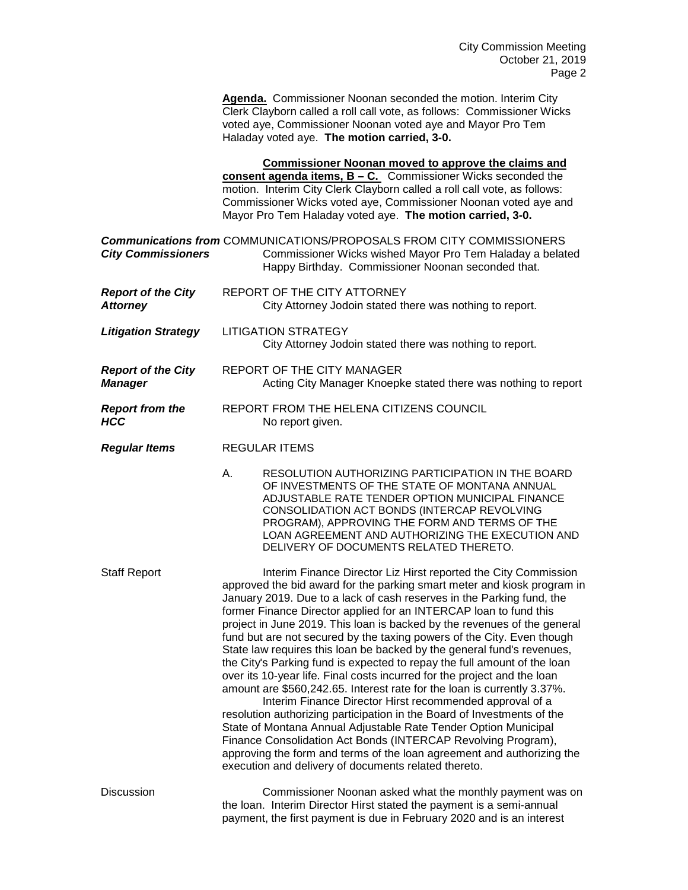**Agenda.** Commissioner Noonan seconded the motion. Interim City Clerk Clayborn called a roll call vote, as follows: Commissioner Wicks voted aye, Commissioner Noonan voted aye and Mayor Pro Tem Haladay voted aye. **The motion carried, 3-0.**

|                                              |    | <b>Commissioner Noonan moved to approve the claims and</b><br>consent agenda items, $B - C$ . Commissioner Wicks seconded the<br>motion. Interim City Clerk Clayborn called a roll call vote, as follows:<br>Commissioner Wicks voted aye, Commissioner Noonan voted aye and<br>Mayor Pro Tem Haladay voted aye. The motion carried, 3-0.                                                                                                                                                                                                                                                                                                                                                                                                                                                                                                                                                                                                                                                                                                                                                                                                                                |
|----------------------------------------------|----|--------------------------------------------------------------------------------------------------------------------------------------------------------------------------------------------------------------------------------------------------------------------------------------------------------------------------------------------------------------------------------------------------------------------------------------------------------------------------------------------------------------------------------------------------------------------------------------------------------------------------------------------------------------------------------------------------------------------------------------------------------------------------------------------------------------------------------------------------------------------------------------------------------------------------------------------------------------------------------------------------------------------------------------------------------------------------------------------------------------------------------------------------------------------------|
| <b>City Commissioners</b>                    |    | <b>Communications from COMMUNICATIONS/PROPOSALS FROM CITY COMMISSIONERS</b><br>Commissioner Wicks wished Mayor Pro Tem Haladay a belated<br>Happy Birthday. Commissioner Noonan seconded that.                                                                                                                                                                                                                                                                                                                                                                                                                                                                                                                                                                                                                                                                                                                                                                                                                                                                                                                                                                           |
| <b>Report of the City</b><br><b>Attorney</b> |    | REPORT OF THE CITY ATTORNEY<br>City Attorney Jodoin stated there was nothing to report.                                                                                                                                                                                                                                                                                                                                                                                                                                                                                                                                                                                                                                                                                                                                                                                                                                                                                                                                                                                                                                                                                  |
| <b>Litigation Strategy</b>                   |    | <b>LITIGATION STRATEGY</b><br>City Attorney Jodoin stated there was nothing to report.                                                                                                                                                                                                                                                                                                                                                                                                                                                                                                                                                                                                                                                                                                                                                                                                                                                                                                                                                                                                                                                                                   |
| <b>Report of the City</b><br><b>Manager</b>  |    | REPORT OF THE CITY MANAGER<br>Acting City Manager Knoepke stated there was nothing to report                                                                                                                                                                                                                                                                                                                                                                                                                                                                                                                                                                                                                                                                                                                                                                                                                                                                                                                                                                                                                                                                             |
| <b>Report from the</b><br><b>HCC</b>         |    | REPORT FROM THE HELENA CITIZENS COUNCIL<br>No report given.                                                                                                                                                                                                                                                                                                                                                                                                                                                                                                                                                                                                                                                                                                                                                                                                                                                                                                                                                                                                                                                                                                              |
| <b>Regular Items</b>                         |    | <b>REGULAR ITEMS</b>                                                                                                                                                                                                                                                                                                                                                                                                                                                                                                                                                                                                                                                                                                                                                                                                                                                                                                                                                                                                                                                                                                                                                     |
|                                              | Α. | RESOLUTION AUTHORIZING PARTICIPATION IN THE BOARD<br>OF INVESTMENTS OF THE STATE OF MONTANA ANNUAL<br>ADJUSTABLE RATE TENDER OPTION MUNICIPAL FINANCE<br>CONSOLIDATION ACT BONDS (INTERCAP REVOLVING<br>PROGRAM), APPROVING THE FORM AND TERMS OF THE<br>LOAN AGREEMENT AND AUTHORIZING THE EXECUTION AND<br>DELIVERY OF DOCUMENTS RELATED THERETO.                                                                                                                                                                                                                                                                                                                                                                                                                                                                                                                                                                                                                                                                                                                                                                                                                      |
| <b>Staff Report</b>                          |    | Interim Finance Director Liz Hirst reported the City Commission<br>approved the bid award for the parking smart meter and kiosk program in<br>January 2019. Due to a lack of cash reserves in the Parking fund, the<br>former Finance Director applied for an INTERCAP loan to fund this<br>project in June 2019. This loan is backed by the revenues of the general<br>fund but are not secured by the taxing powers of the City. Even though<br>State law requires this loan be backed by the general fund's revenues,<br>the City's Parking fund is expected to repay the full amount of the loan<br>over its 10-year life. Final costs incurred for the project and the loan<br>amount are \$560,242.65. Interest rate for the loan is currently 3.37%.<br>Interim Finance Director Hirst recommended approval of a<br>resolution authorizing participation in the Board of Investments of the<br>State of Montana Annual Adjustable Rate Tender Option Municipal<br>Finance Consolidation Act Bonds (INTERCAP Revolving Program),<br>approving the form and terms of the loan agreement and authorizing the<br>execution and delivery of documents related thereto. |
|                                              |    |                                                                                                                                                                                                                                                                                                                                                                                                                                                                                                                                                                                                                                                                                                                                                                                                                                                                                                                                                                                                                                                                                                                                                                          |

Discussion Commissioner Noonan asked what the monthly payment was on the loan. Interim Director Hirst stated the payment is a semi-annual payment, the first payment is due in February 2020 and is an interest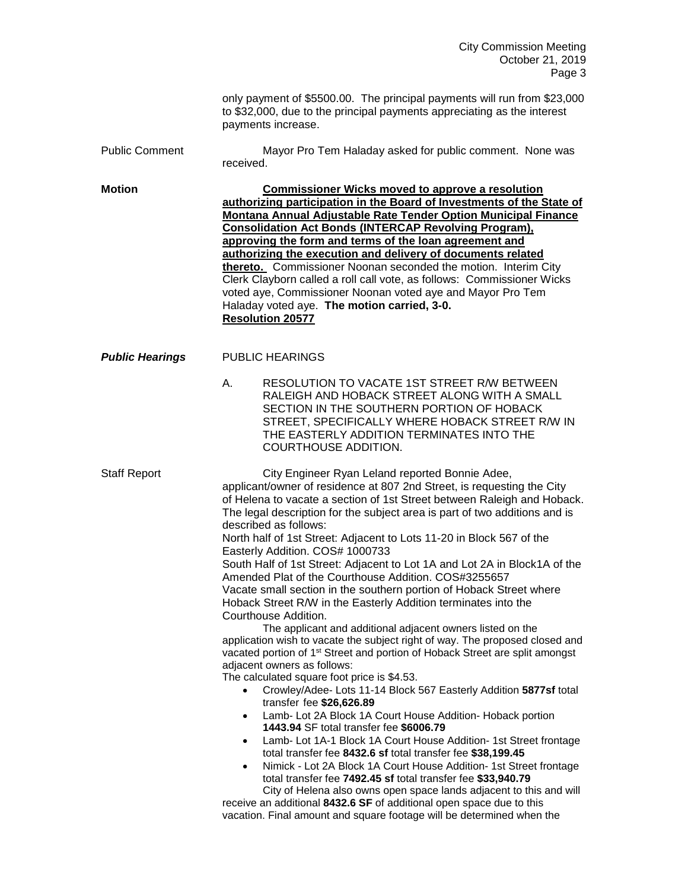City Commission Meeting October 21, 2019 Page 3

only payment of \$5500.00. The principal payments will run from \$23,000 to \$32,000, due to the principal payments appreciating as the interest payments increase. Public Comment Mayor Pro Tem Haladay asked for public comment. None was received. **Motion Commissioner Wicks moved to approve a resolution authorizing participation in the Board of Investments of the State of Montana Annual Adjustable Rate Tender Option Municipal Finance Consolidation Act Bonds (INTERCAP Revolving Program), approving the form and terms of the loan agreement and authorizing the execution and delivery of documents related thereto.** Commissioner Noonan seconded the motion. Interim City Clerk Clayborn called a roll call vote, as follows: Commissioner Wicks voted aye, Commissioner Noonan voted aye and Mayor Pro Tem Haladay voted aye. **The motion carried, 3-0. Resolution 20577 Public Hearings** PUBLIC HEARINGS A. RESOLUTION TO VACATE 1ST STREET R/W BETWEEN RALEIGH AND HOBACK STREET ALONG WITH A SMALL SECTION IN THE SOUTHERN PORTION OF HOBACK STREET, SPECIFICALLY WHERE HOBACK STREET R/W IN THE EASTERLY ADDITION TERMINATES INTO THE COURTHOUSE ADDITION. Staff Report City Engineer Ryan Leland reported Bonnie Adee, applicant/owner of residence at 807 2nd Street, is requesting the City of Helena to vacate a section of 1st Street between Raleigh and Hoback. The legal description for the subject area is part of two additions and is described as follows: North half of 1st Street: Adjacent to Lots 11-20 in Block 567 of the Easterly Addition. COS# 1000733 South Half of 1st Street: Adjacent to Lot 1A and Lot 2A in Block1A of the Amended Plat of the Courthouse Addition. COS#3255657 Vacate small section in the southern portion of Hoback Street where Hoback Street R/W in the Easterly Addition terminates into the Courthouse Addition. The applicant and additional adjacent owners listed on the application wish to vacate the subject right of way. The proposed closed and vacated portion of 1<sup>st</sup> Street and portion of Hoback Street are split amongst adjacent owners as follows: The calculated square foot price is \$4.53. • Crowley/Adee- Lots 11-14 Block 567 Easterly Addition **5877sf** total transfer fee **\$26,626.89** • Lamb- Lot 2A Block 1A Court House Addition- Hoback portion **1443.94** SF total transfer fee **\$6006.79** • Lamb- Lot 1A-1 Block 1A Court House Addition- 1st Street frontage total transfer fee **8432.6 sf** total transfer fee **\$38,199.45** • Nimick - Lot 2A Block 1A Court House Addition- 1st Street frontage total transfer fee **7492.45 sf** total transfer fee **\$33,940.79** City of Helena also owns open space lands adjacent to this and will receive an additional **8432.6 SF** of additional open space due to this vacation. Final amount and square footage will be determined when the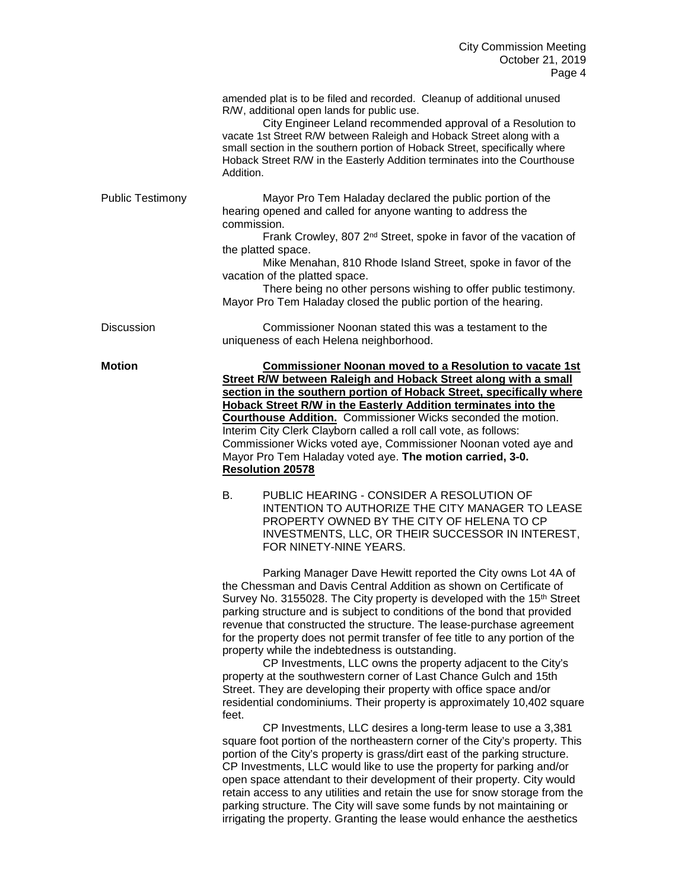|                         | amended plat is to be filed and recorded. Cleanup of additional unused<br>R/W, additional open lands for public use.<br>City Engineer Leland recommended approval of a Resolution to<br>vacate 1st Street R/W between Raleigh and Hoback Street along with a<br>small section in the southern portion of Hoback Street, specifically where<br>Hoback Street R/W in the Easterly Addition terminates into the Courthouse<br>Addition.                                                                                                                                              |
|-------------------------|-----------------------------------------------------------------------------------------------------------------------------------------------------------------------------------------------------------------------------------------------------------------------------------------------------------------------------------------------------------------------------------------------------------------------------------------------------------------------------------------------------------------------------------------------------------------------------------|
| <b>Public Testimony</b> | Mayor Pro Tem Haladay declared the public portion of the<br>hearing opened and called for anyone wanting to address the<br>commission.<br>Frank Crowley, 807 2 <sup>nd</sup> Street, spoke in favor of the vacation of<br>the platted space.<br>Mike Menahan, 810 Rhode Island Street, spoke in favor of the<br>vacation of the platted space.<br>There being no other persons wishing to offer public testimony.<br>Mayor Pro Tem Haladay closed the public portion of the hearing.                                                                                              |
| <b>Discussion</b>       | Commissioner Noonan stated this was a testament to the<br>uniqueness of each Helena neighborhood.                                                                                                                                                                                                                                                                                                                                                                                                                                                                                 |
| Motion                  | <b>Commissioner Noonan moved to a Resolution to vacate 1st</b><br>Street R/W between Raleigh and Hoback Street along with a small<br>section in the southern portion of Hoback Street, specifically where<br><b>Hoback Street R/W in the Easterly Addition terminates into the</b><br>Courthouse Addition. Commissioner Wicks seconded the motion.<br>Interim City Clerk Clayborn called a roll call vote, as follows:<br>Commissioner Wicks voted aye, Commissioner Noonan voted aye and<br>Mayor Pro Tem Haladay voted aye. The motion carried, 3-0.<br><b>Resolution 20578</b> |
|                         | PUBLIC HEARING - CONSIDER A RESOLUTION OF<br>В.<br>INTENTION TO AUTHORIZE THE CITY MANAGER TO LEASE<br>PROPERTY OWNED BY THE CITY OF HELENA TO CP<br>INVESTMENTS, LLC, OR THEIR SUCCESSOR IN INTEREST,<br>FOR NINETY-NINE YEARS.                                                                                                                                                                                                                                                                                                                                                  |

Parking Manager Dave Hewitt reported the City owns Lot 4A of the Chessman and Davis Central Addition as shown on Certificate of Survey No. 3155028. The City property is developed with the 15<sup>th</sup> Street parking structure and is subject to conditions of the bond that provided revenue that constructed the structure. The lease-purchase agreement for the property does not permit transfer of fee title to any portion of the property while the indebtedness is outstanding.

CP Investments, LLC owns the property adjacent to the City's property at the southwestern corner of Last Chance Gulch and 15th Street. They are developing their property with office space and/or residential condominiums. Their property is approximately 10,402 square feet.

CP Investments, LLC desires a long-term lease to use a 3,381 square foot portion of the northeastern corner of the City's property. This portion of the City's property is grass/dirt east of the parking structure. CP Investments, LLC would like to use the property for parking and/or open space attendant to their development of their property. City would retain access to any utilities and retain the use for snow storage from the parking structure. The City will save some funds by not maintaining or irrigating the property. Granting the lease would enhance the aesthetics